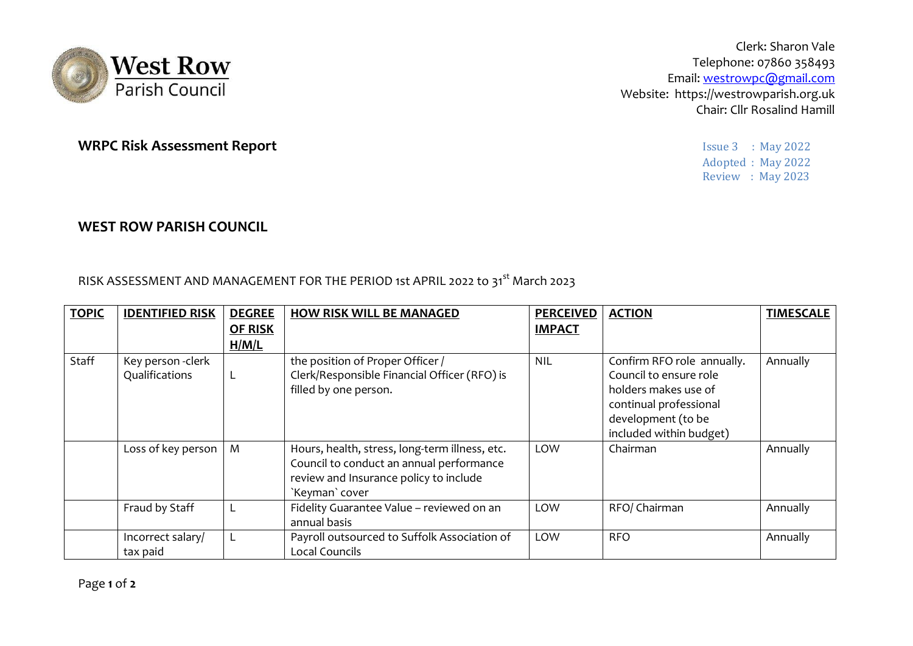

Clerk: Sharon Vale Telephone: 07860 358493 Email: westrowpc@gmail.com Website: https://westrowparish.org.uk Chair: Cllr Rosalind Hamill

> Adopted : May 2022 Review : May 2023

## **WRPC Risk Assessment Report Issue 3 : May 2022**

## **WEST ROW PARISH COUNCIL**

RISK ASSESSMENT AND MANAGEMENT FOR THE PERIOD 1st APRIL 2022 to 31<sup>st</sup> March 2023

| <b>TOPIC</b> | <b>IDENTIFIED RISK</b>             | <b>DEGREE</b><br><b>OF RISK</b><br>H/M/L | <b>HOW RISK WILL BE MANAGED</b>                                                                                                                        | <b>PERCEIVED</b><br><b>IMPACT</b> | <b>ACTION</b>                                                                                                                                           | <b>TIMESCALE</b> |
|--------------|------------------------------------|------------------------------------------|--------------------------------------------------------------------------------------------------------------------------------------------------------|-----------------------------------|---------------------------------------------------------------------------------------------------------------------------------------------------------|------------------|
| Staff        | Key person-clerk<br>Qualifications | L                                        | the position of Proper Officer /<br>Clerk/Responsible Financial Officer (RFO) is<br>filled by one person.                                              | <b>NIL</b>                        | Confirm RFO role annually.<br>Council to ensure role<br>holders makes use of<br>continual professional<br>development (to be<br>included within budget) | Annually         |
|              | Loss of key person                 | M                                        | Hours, health, stress, long-term illness, etc.<br>Council to conduct an annual performance<br>review and Insurance policy to include<br>`Keyman` cover | LOW                               | Chairman                                                                                                                                                | Annually         |
|              | Fraud by Staff                     |                                          | Fidelity Guarantee Value - reviewed on an<br>annual basis                                                                                              | LOW                               | RFO/ Chairman                                                                                                                                           | Annually         |
|              | Incorrect salary/<br>tax paid      |                                          | Payroll outsourced to Suffolk Association of<br>Local Councils                                                                                         | LOW                               | <b>RFO</b>                                                                                                                                              | Annually         |

Page **1** of **2**